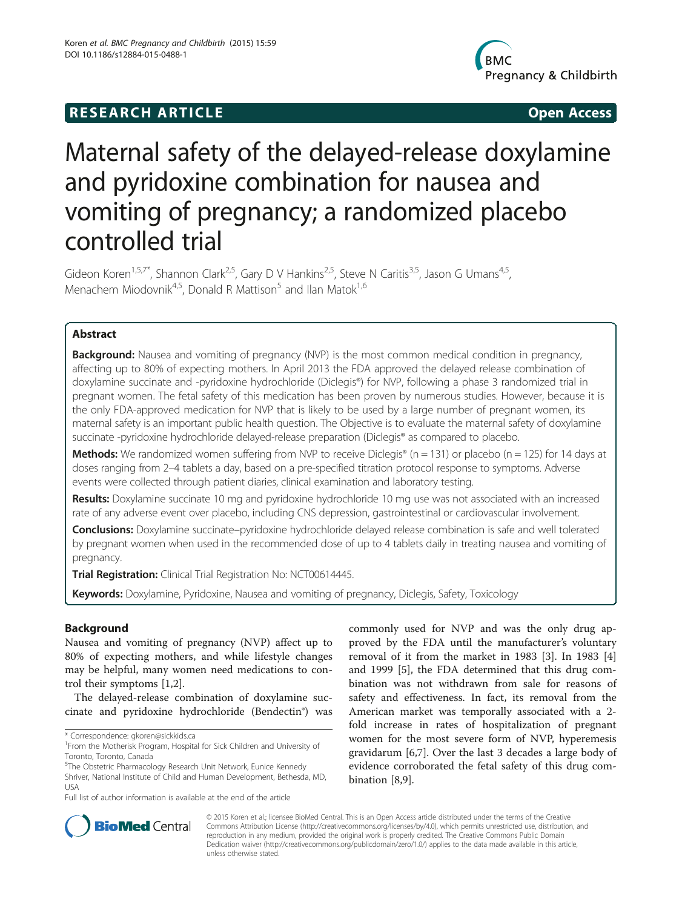# **RESEARCH ARTICLE Example 2014 CONSIDERING CONSIDERING CONSIDERING CONSIDERING CONSIDERING CONSIDERING CONSIDERING CONSIDERING CONSIDERING CONSIDERING CONSIDERING CONSIDERING CONSIDERING CONSIDERING CONSIDERING CONSIDE**



# Maternal safety of the delayed-release doxylamine and pyridoxine combination for nausea and vomiting of pregnancy; a randomized placebo controlled trial

Gideon Koren<sup>1,5,7\*</sup>, Shannon Clark<sup>2,5</sup>, Gary D V Hankins<sup>2,5</sup>, Steve N Caritis<sup>3,5</sup>, Jason G Umans<sup>4,5</sup>, Menachem Miodovnik<sup>4,5</sup>, Donald R Mattison<sup>5</sup> and Ilan Matok<sup>1,6</sup>

# Abstract

**Background:** Nausea and vomiting of pregnancy (NVP) is the most common medical condition in pregnancy, affecting up to 80% of expecting mothers. In April 2013 the FDA approved the delayed release combination of doxylamine succinate and -pyridoxine hydrochloride (Diclegis®) for NVP, following a phase 3 randomized trial in pregnant women. The fetal safety of this medication has been proven by numerous studies. However, because it is the only FDA-approved medication for NVP that is likely to be used by a large number of pregnant women, its maternal safety is an important public health question. The Objective is to evaluate the maternal safety of doxylamine succinate -pyridoxine hydrochloride delayed-release preparation (Diclegis® as compared to placebo.

**Methods:** We randomized women suffering from NVP to receive Diclegis® (n = 131) or placebo (n = 125) for 14 days at doses ranging from 2–4 tablets a day, based on a pre-specified titration protocol response to symptoms. Adverse events were collected through patient diaries, clinical examination and laboratory testing.

Results: Doxylamine succinate 10 mg and pyridoxine hydrochloride 10 mg use was not associated with an increased rate of any adverse event over placebo, including CNS depression, gastrointestinal or cardiovascular involvement.

Conclusions: Doxylamine succinate–pyridoxine hydrochloride delayed release combination is safe and well tolerated by pregnant women when used in the recommended dose of up to 4 tablets daily in treating nausea and vomiting of pregnancy.

**Trial Registration:** Clinical Trial Registration No: [NCT00614445](https://clinicaltrials.gov/ct2/show/NCT00614445?term=NCT00614445&rank=1).

Keywords: Doxylamine, Pyridoxine, Nausea and vomiting of pregnancy, Diclegis, Safety, Toxicology

# Background

Nausea and vomiting of pregnancy (NVP) affect up to 80% of expecting mothers, and while lifestyle changes may be helpful, many women need medications to control their symptoms [\[1,2](#page-5-0)].

The delayed-release combination of doxylamine succinate and pyridoxine hydrochloride (Bendectin®) was

\* Correspondence: [gkoren@sickkids.ca](mailto:gkoren@sickkids.ca) <sup>1</sup>

Full list of author information is available at the end of the article

commonly used for NVP and was the only drug approved by the FDA until the manufacturer's voluntary removal of it from the market in 1983 [\[3](#page-5-0)]. In 1983 [\[4](#page-5-0)] and 1999 [[5](#page-5-0)], the FDA determined that this drug combination was not withdrawn from sale for reasons of safety and effectiveness. In fact, its removal from the American market was temporally associated with a 2 fold increase in rates of hospitalization of pregnant women for the most severe form of NVP, hyperemesis gravidarum [[6](#page-5-0),[7](#page-5-0)]. Over the last 3 decades a large body of evidence corroborated the fetal safety of this drug combination [[8,9\]](#page-5-0).



© 2015 Koren et al.; licensee BioMed Central. This is an Open Access article distributed under the terms of the Creative Commons Attribution License [\(http://creativecommons.org/licenses/by/4.0\)](http://creativecommons.org/licenses/by/4.0), which permits unrestricted use, distribution, and reproduction in any medium, provided the original work is properly credited. The Creative Commons Public Domain Dedication waiver [\(http://creativecommons.org/publicdomain/zero/1.0/](http://creativecommons.org/publicdomain/zero/1.0/)) applies to the data made available in this article, unless otherwise stated.

<sup>&</sup>lt;sup>1</sup> From the Motherisk Program, Hospital for Sick Children and University of Toronto, Toronto, Canada

<sup>&</sup>lt;sup>5</sup>The Obstetric Pharmacology Research Unit Network, Eunice Kennedy Shriver, National Institute of Child and Human Development, Bethesda, MD,

USA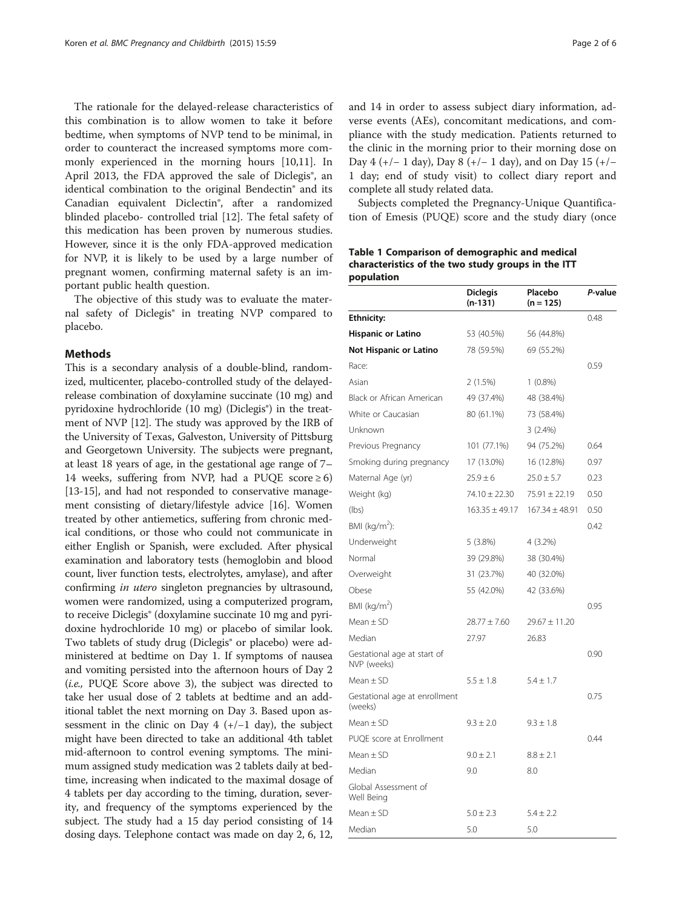<span id="page-1-0"></span>The rationale for the delayed-release characteristics of this combination is to allow women to take it before bedtime, when symptoms of NVP tend to be minimal, in order to counteract the increased symptoms more commonly experienced in the morning hours [[10,11\]](#page-5-0). In April 2013, the FDA approved the sale of Diclegis<sup>®</sup>, an identical combination to the original Bendectin® and its Canadian equivalent Diclectin®, after a randomized blinded placebo- controlled trial [[12\]](#page-5-0). The fetal safety of this medication has been proven by numerous studies. However, since it is the only FDA-approved medication for NVP, it is likely to be used by a large number of pregnant women, confirming maternal safety is an important public health question.

The objective of this study was to evaluate the maternal safety of Diclegis® in treating NVP compared to placebo.

#### Methods

This is a secondary analysis of a double-blind, randomized, multicenter, placebo-controlled study of the delayedrelease combination of doxylamine succinate (10 mg) and pyridoxine hydrochloride (10 mg) (Diclegis®) in the treatment of NVP [\[12\]](#page-5-0). The study was approved by the IRB of the University of Texas, Galveston, University of Pittsburg and Georgetown University. The subjects were pregnant, at least 18 years of age, in the gestational age range of 7– 14 weeks, suffering from NVP, had a PUQE score  $\geq 6$ ) [[13](#page-5-0)-[15\]](#page-5-0), and had not responded to conservative management consisting of dietary/lifestyle advice [\[16\]](#page-5-0). Women treated by other antiemetics, suffering from chronic medical conditions, or those who could not communicate in either English or Spanish, were excluded. After physical examination and laboratory tests (hemoglobin and blood count, liver function tests, electrolytes, amylase), and after confirming in utero singleton pregnancies by ultrasound, women were randomized, using a computerized program, to receive Diclegis® (doxylamine succinate 10 mg and pyridoxine hydrochloride 10 mg) or placebo of similar look. Two tablets of study drug (Diclegis® or placebo) were administered at bedtime on Day 1. If symptoms of nausea and vomiting persisted into the afternoon hours of Day 2 (i.e., PUQE Score above 3), the subject was directed to take her usual dose of 2 tablets at bedtime and an additional tablet the next morning on Day 3. Based upon assessment in the clinic on Day  $4 (+/-1$  day), the subject might have been directed to take an additional 4th tablet mid-afternoon to control evening symptoms. The minimum assigned study medication was 2 tablets daily at bedtime, increasing when indicated to the maximal dosage of 4 tablets per day according to the timing, duration, severity, and frequency of the symptoms experienced by the subject. The study had a 15 day period consisting of 14 dosing days. Telephone contact was made on day 2, 6, 12, and 14 in order to assess subject diary information, adverse events (AEs), concomitant medications, and compliance with the study medication. Patients returned to the clinic in the morning prior to their morning dose on Day 4 (+/− 1 day), Day 8 (+/− 1 day), and on Day 15 (+/− 1 day; end of study visit) to collect diary report and complete all study related data.

Subjects completed the Pregnancy-Unique Quantification of Emesis (PUQE) score and the study diary (once

# Table 1 Comparison of demographic and medical characteristics of the two study groups in the ITT population

|                                            | <b>Diclegis</b><br>(n-131) | Placebo<br>$(n = 125)$ | P-value |
|--------------------------------------------|----------------------------|------------------------|---------|
| <b>Ethnicity:</b>                          |                            |                        | 0.48    |
| Hispanic or Latino                         | 53 (40.5%)                 | 56 (44.8%)             |         |
| Not Hispanic or Latino                     | 78 (59.5%)                 | 69 (55.2%)             |         |
| Race:                                      |                            |                        | 0.59    |
| Asian                                      | 2(1.5%)                    | $1(0.8\%)$             |         |
| Black or African American                  | 49 (37.4%)                 | 48 (38.4%)             |         |
| White or Caucasian                         | 80 (61.1%)                 | 73 (58.4%)             |         |
| Unknown                                    |                            | 3(2.4%)                |         |
| Previous Pregnancy                         | 101 (77.1%)                | 94 (75.2%)             | 0.64    |
| Smoking during pregnancy                   | 17 (13.0%)                 | 16 (12.8%)             | 0.97    |
| Maternal Age (yr)                          | $25.9 \pm 6$               | $25.0 \pm 5.7$         | 0.23    |
| Weight (kg)                                | 74.10 ± 22.30              | $75.91 \pm 22.19$      | 0.50    |
| (lbs)                                      | $163.35 \pm 49.17$         | $167.34 \pm 48.91$     | 0.50    |
| BMI ( $kg/m2$ ):                           |                            |                        | 0.42    |
| Underweight                                | 5(3.8%)                    | 4 (3.2%)               |         |
| Normal                                     | 39 (29.8%)                 | 38 (30.4%)             |         |
| Overweight                                 | 31 (23.7%)                 | 40 (32.0%)             |         |
| Obese                                      | 55 (42.0%)                 | 42 (33.6%)             |         |
| BMI (kg/m <sup>2</sup> )                   |                            |                        | 0.95    |
| Mean $\pm$ SD                              | $28.77 \pm 7.60$           | $29.67 \pm 11.20$      |         |
| Median                                     | 27.97                      | 26.83                  |         |
| Gestational age at start of<br>NVP (weeks) |                            |                        | 0.90    |
| Mean $\pm$ SD                              | $5.5 \pm 1.8$              | $5.4 \pm 1.7$          |         |
| Gestational age at enrollment<br>(weeks)   |                            |                        | 0.75    |
| Mean $\pm$ SD                              | $9.3 \pm 2.0$              | $9.3 \pm 1.8$          |         |
| PUOE score at Enrollment                   |                            |                        | 0.44    |
| Mean $\pm$ SD                              | $9.0 \pm 2.1$              | $8.8 \pm 2.1$          |         |
| Median                                     | 9.0                        | 8.0                    |         |
| Global Assessment of<br>Well Being         |                            |                        |         |
| $Mean \pm SD$                              | $5.0 \pm 2.3$              | $5.4 \pm 2.2$          |         |
| Median                                     | 5.0                        | 5.0                    |         |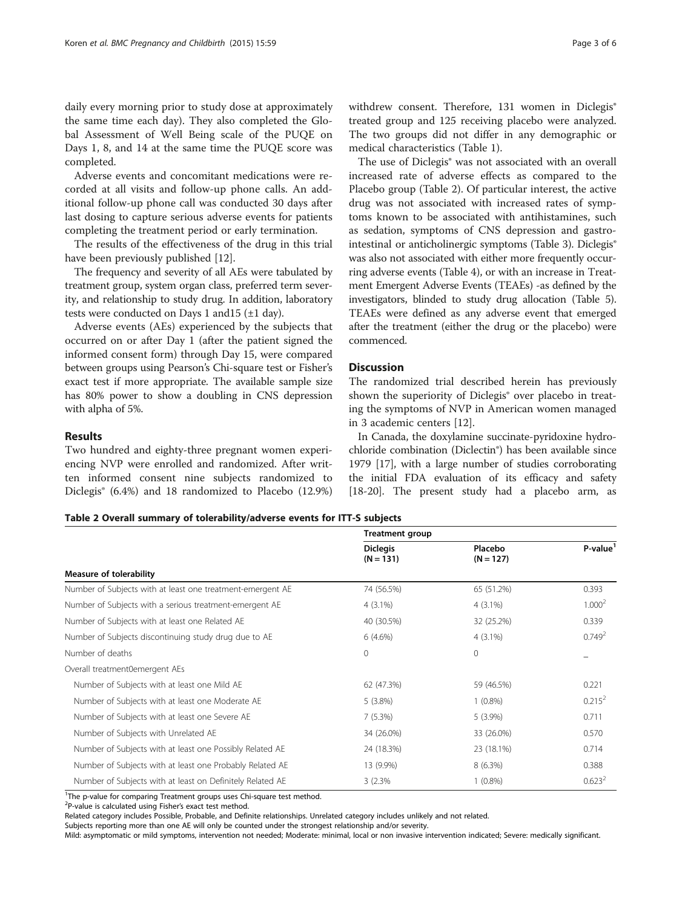daily every morning prior to study dose at approximately the same time each day). They also completed the Global Assessment of Well Being scale of the PUQE on Days 1, 8, and 14 at the same time the PUQE score was completed.

Adverse events and concomitant medications were recorded at all visits and follow-up phone calls. An additional follow-up phone call was conducted 30 days after last dosing to capture serious adverse events for patients completing the treatment period or early termination.

The results of the effectiveness of the drug in this trial have been previously published [[12](#page-5-0)].

The frequency and severity of all AEs were tabulated by treatment group, system organ class, preferred term severity, and relationship to study drug. In addition, laboratory tests were conducted on Days 1 and 15  $(\pm 1 \text{ day})$ .

Adverse events (AEs) experienced by the subjects that occurred on or after Day 1 (after the patient signed the informed consent form) through Day 15, were compared between groups using Pearson's Chi-square test or Fisher's exact test if more appropriate. The available sample size has 80% power to show a doubling in CNS depression with alpha of 5%.

### Results

Two hundred and eighty-three pregnant women experiencing NVP were enrolled and randomized. After written informed consent nine subjects randomized to Diclegis® (6.4%) and 18 randomized to Placebo (12.9%) withdrew consent. Therefore, 131 women in Diclegis® treated group and 125 receiving placebo were analyzed. The two groups did not differ in any demographic or medical characteristics (Table [1\)](#page-1-0).

The use of Diclegis® was not associated with an overall increased rate of adverse effects as compared to the Placebo group (Table 2). Of particular interest, the active drug was not associated with increased rates of symptoms known to be associated with antihistamines, such as sedation, symptoms of CNS depression and gastro-intestinal or anticholinergic symptoms (Table [3](#page-3-0)). Diclegis<sup>®</sup> was also not associated with either more frequently occurring adverse events (Table [4](#page-3-0)), or with an increase in Treatment Emergent Adverse Events (TEAEs) -as defined by the investigators, blinded to study drug allocation (Table [5](#page-4-0)). TEAEs were defined as any adverse event that emerged after the treatment (either the drug or the placebo) were commenced.

# Discussion

The randomized trial described herein has previously shown the superiority of Diclegis® over placebo in treating the symptoms of NVP in American women managed in 3 academic centers [[12\]](#page-5-0).

In Canada, the doxylamine succinate-pyridoxine hydrochloride combination (Diclectin®) has been available since 1979 [\[17\]](#page-5-0), with a large number of studies corroborating the initial FDA evaluation of its efficacy and safety [[18](#page-5-0)-[20\]](#page-5-0). The present study had a placebo arm, as

#### Table 2 Overall summary of tolerability/adverse events for ITT-S subjects

Treatment group Diclegis  $(N = 131)$ Placebo  $(N = 127)$ P-value<sup>1</sup> Measure of tolerability Number of Subjects with at least one treatment-emergent AE 74 (56.5%) 65 (51.2%) 65 (51.2%) 0.393 Number of Subjects with a serious treatment-emergent AE 4 (3.1%) 4 (3.1%) 4 (3.1%) 4 (3.1%) Number of Subjects with at least one Related AE 40 (30.5%) 32 (25.2%) 32 (25.2%) 0.339 Number of Subjects discontinuing study drug due to AE 6 (4.6%) 4 (3.1%) 4 (3.1%) 4 (3.1%) Number of deaths  $\hphantom{00}0$   $\hphantom{00}0$   $\hphantom{00}$ Overall treatment0emergent AEs Number of Subjects with at least one Mild AE 62 (47.3%) 59 (46.5%) 59 (46.5%) 0.221 Number of Subjects with at least one Moderate AE 5 (3.8%) 1 (0.8%) 1 (0.8%) 0.215<sup>2</sup> Number of Subjects with at least one Severe AE 7 (5.3%) 5 (3.9%) 5 (3.9%) 0.711 Number of Subjects with Unrelated AE 34 (26.0%) 33 (26.0%) 33 (26.0%) 33 (26.0%) Number of Subjects with at least one Possibly Related AE 24 (18.3%) 23 (18.1%) 0.714 Number of Subjects with at least one Probably Related AE 13 (9.9%) 8 (6.3%) 8 (6.3%) 0.388 Number of Subjects with at least on Definitely Related AE 3 (2.3% 1 (0.8%) 0.623<sup>2</sup>

<sup>1</sup>The p-value for comparing Treatment groups uses Chi-square test method.

<sup>2</sup>P-value is calculated using Fisher's exact test method.

Related category includes Possible, Probable, and Definite relationships. Unrelated category includes unlikely and not related.

Subjects reporting more than one AE will only be counted under the strongest relationship and/or severity.

Mild: asymptomatic or mild symptoms, intervention not needed; Moderate: minimal, local or non invasive intervention indicated; Severe: medically significant.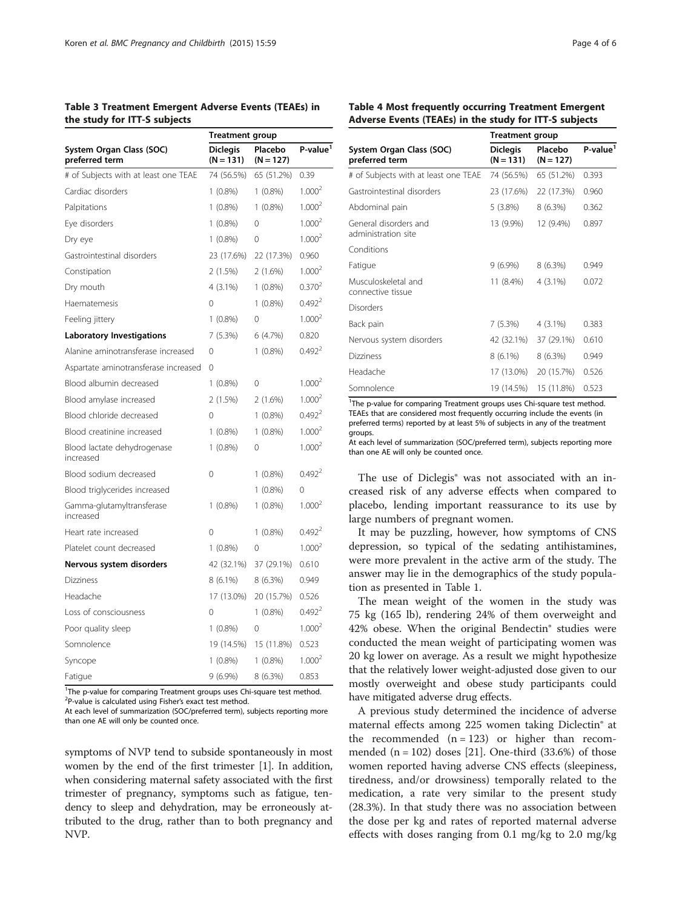<span id="page-3-0"></span>

| Table 3 Treatment Emergent Adverse Events (TEAEs) in |  |
|------------------------------------------------------|--|
| the study for ITT-S subjects                         |  |

|                                            | <b>Treatment group</b>         |                        |                    |
|--------------------------------------------|--------------------------------|------------------------|--------------------|
| System Organ Class (SOC)<br>preferred term | <b>Diclegis</b><br>$(N = 131)$ | Placebo<br>$(N = 127)$ | $P-value1$         |
| # of Subjects with at least one TEAE       | 74 (56.5%)                     | 65 (51.2%)             | 0.39               |
| Cardiac disorders                          | $1(0.8\%)$                     | $1(0.8\%)$             | 1.000 <sup>2</sup> |
| Palpitations                               | $1(0.8\%)$                     | $1(0.8\%)$             | 1.000 <sup>2</sup> |
| Eye disorders                              | $1(0.8\%)$                     | 0                      | 1.000 <sup>2</sup> |
| Dry eye                                    | $1(0.8\%)$                     | 0                      | 1.000 <sup>2</sup> |
| Gastrointestinal disorders                 | 23 (17.6%)                     | 22 (17.3%)             | 0.960              |
| Constipation                               | 2(1.5%)                        | 2(1.6%)                | 1.000 <sup>2</sup> |
| Dry mouth                                  | 4 (3.1%)                       | $1(0.8\%)$             | 0.370 <sup>2</sup> |
| Haematemesis                               | 0                              | $1(0.8\%)$             | 0.492 <sup>2</sup> |
| Feeling jittery                            | $1(0.8\%)$                     | 0                      | 1.000 <sup>2</sup> |
| <b>Laboratory Investigations</b>           | 7(5.3%)                        | 6 (4.7%)               | 0.820              |
| Alanine aminotransferase increased         | $\Omega$                       | $1(0.8\%)$             | 0.492 <sup>2</sup> |
| Aspartate aminotransferase increased       | 0                              |                        |                    |
| Blood albumin decreased                    | $1(0.8\%)$                     | 0                      | 1.000 <sup>2</sup> |
| Blood amylase increased                    | 2(1.5%)                        | $2(1.6\%)$             | 1.000 <sup>2</sup> |
| Blood chloride decreased                   | 0                              | $1(0.8\%)$             | 0.492 <sup>2</sup> |
| Blood creatinine increased                 | $1(0.8\%)$                     | $1(0.8\%)$             | 1.000 <sup>2</sup> |
| Blood lactate dehydrogenase<br>increased   | $1(0.8\%)$                     | 0                      | 1.000 <sup>2</sup> |
| Blood sodium decreased                     | 0                              | $1(0.8\%)$             | 0.492 <sup>2</sup> |
| Blood triglycerides increased              |                                | $1(0.8\%)$             | 0                  |
| Gamma-glutamyltransferase<br>increased     | $1(0.8\%)$                     | $1(0.8\%)$             | 1.000 <sup>2</sup> |
| Heart rate increased                       | $\Omega$                       | $1(0.8\%)$             | 0.492 <sup>2</sup> |
| Platelet count decreased                   | $1(0.8\%)$                     | 0                      | 1.000 <sup>2</sup> |
| Nervous system disorders                   | 42 (32.1%)                     | 37 (29.1%)             | 0.610              |
| <b>Dizziness</b>                           | 8 (6.1%)                       | 8 (6.3%)               | 0.949              |
| Headache                                   | 17 (13.0%)                     | 20 (15.7%)             | 0.526              |
| Loss of consciousness                      | 0                              | $1(0.8\%)$             | 0.492 <sup>2</sup> |
| Poor quality sleep                         | $1(0.8\%)$                     | 0                      | 1.000 <sup>2</sup> |
| Somnolence                                 | 19 (14.5%)                     | 15 (11.8%)             | 0.523              |
| Syncope                                    | $1(0.8\%)$                     | $1(0.8\%)$             | 1.000 <sup>2</sup> |
| Fatigue                                    | $9(6.9\%)$                     | 8 (6.3%)               | 0.853              |

<sup>1</sup>The p-value for comparing Treatment groups uses Chi-square test method. <sup>2</sup>P-value is calculated using Fisher's exact test method.

At each level of summarization (SOC/preferred term), subjects reporting more than one AE will only be counted once.

symptoms of NVP tend to subside spontaneously in most women by the end of the first trimester [\[1](#page-5-0)]. In addition, when considering maternal safety associated with the first trimester of pregnancy, symptoms such as fatigue, tendency to sleep and dehydration, may be erroneously attributed to the drug, rather than to both pregnancy and NVP.

| Table 4 Most frequently occurring Treatment Emergent   |  |  |  |
|--------------------------------------------------------|--|--|--|
| Adverse Events (TEAEs) in the study for ITT-S subjects |  |  |  |

|                                              | <b>Treatment group</b>         |                        |                      |
|----------------------------------------------|--------------------------------|------------------------|----------------------|
| System Organ Class (SOC)<br>preferred term   | <b>Diclegis</b><br>$(N = 131)$ | Placebo<br>$(N = 127)$ | P-value <sup>1</sup> |
| # of Subjects with at least one TEAE         | 74 (56.5%)                     | 65 (51.2%)             | 0.393                |
| Gastrointestinal disorders                   | 23 (17.6%)                     | 22 (17.3%)             | 0.960                |
| Abdominal pain                               | $5(3.8\%)$                     | 8(6.3%)                | 0.362                |
| General disorders and<br>administration site | 13 (9.9%)                      | 12 (9.4%)              | 0.897                |
| Conditions                                   |                                |                        |                      |
| Fatigue                                      | $9(6.9\%)$                     | 8(6.3%)                | 0.949                |
| Musculoskeletal and<br>connective tissue     | 11 (8.4%)                      | $4(3.1\%)$             | 0.072                |
| Disorders                                    |                                |                        |                      |
| Back pain                                    | 7(5.3%)                        | $4(3.1\%)$             | 0.383                |
| Nervous system disorders                     | 42 (32.1%)                     | 37 (29.1%)             | 0.610                |
| <b>Dizziness</b>                             | $8(6.1\%)$                     | 8(6.3%)                | 0.949                |
| Headache                                     | 17 (13.0%)                     | 20 (15.7%)             | 0.526                |
| Somnolence                                   | 19 (14.5%)                     | 15 (11.8%)             | 0.523                |

<sup>1</sup>The p-value for comparing Treatment groups uses Chi-square test method. TEAEs that are considered most frequently occurring include the events (in preferred terms) reported by at least 5% of subjects in any of the treatment groups.

At each level of summarization (SOC/preferred term), subjects reporting more than one AE will only be counted once.

The use of Diclegis<sup>®</sup> was not associated with an increased risk of any adverse effects when compared to placebo, lending important reassurance to its use by large numbers of pregnant women.

It may be puzzling, however, how symptoms of CNS depression, so typical of the sedating antihistamines, were more prevalent in the active arm of the study. The answer may lie in the demographics of the study population as presented in Table [1.](#page-1-0)

The mean weight of the women in the study was 75 kg (165 lb), rendering 24% of them overweight and 42% obese. When the original Bendectin® studies were conducted the mean weight of participating women was 20 kg lower on average. As a result we might hypothesize that the relatively lower weight-adjusted dose given to our mostly overweight and obese study participants could have mitigated adverse drug effects.

A previous study determined the incidence of adverse maternal effects among 225 women taking Diclectin® at the recommended  $(n = 123)$  or higher than recommended  $(n = 102)$  doses [\[21](#page-5-0)]. One-third  $(33.6%)$  of those women reported having adverse CNS effects (sleepiness, tiredness, and/or drowsiness) temporally related to the medication, a rate very similar to the present study (28.3%). In that study there was no association between the dose per kg and rates of reported maternal adverse effects with doses ranging from 0.1 mg/kg to 2.0 mg/kg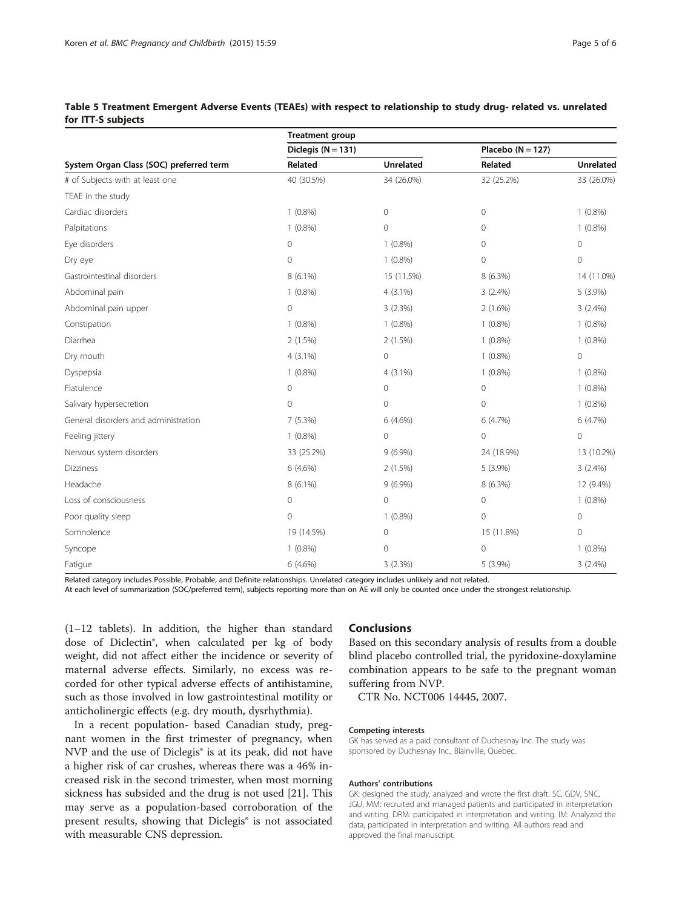|                                         | <b>Treatment group</b> |                  |                     |                |  |
|-----------------------------------------|------------------------|------------------|---------------------|----------------|--|
|                                         | Diclegis $(N = 131)$   |                  | Placebo $(N = 127)$ |                |  |
| System Organ Class (SOC) preferred term | Related                | <b>Unrelated</b> | Related             | Unrelated      |  |
| # of Subjects with at least one         | 40 (30.5%)             | 34 (26.0%)       | 32 (25.2%)          | 33 (26.0%)     |  |
| TEAE in the study                       |                        |                  |                     |                |  |
| Cardiac disorders                       | $1(0.8\%)$             | $\mathbf 0$      | $\mathbf{O}$        | $1(0.8\%)$     |  |
| Palpitations                            | $1(0.8\%)$             | $\mathbf 0$      | 0                   | $1(0.8\%)$     |  |
| Eye disorders                           | $\mathbf 0$            | $1(0.8\%)$       | $\mathbf 0$         | 0              |  |
| Dry eye                                 | $\mathbf 0$            | $1(0.8\%)$       | $\mathbf 0$         | $\overline{0}$ |  |
| Gastrointestinal disorders              | $8(6.1\%)$             | 15 (11.5%)       | 8 (6.3%)            | 14 (11.0%)     |  |
| Abdominal pain                          | $1(0.8\%)$             | $4(3.1\%)$       | 3(2.4%)             | $5(3.9\%)$     |  |
| Abdominal pain upper                    | $\mathbf 0$            | 3(2.3%)          | $2(1.6\%)$          | $3(2.4\%)$     |  |
| Constipation                            | $1(0.8\%)$             | $1(0.8\%)$       | $1(0.8\%)$          | $1(0.8\%)$     |  |
| Diarrhea                                | 2(1.5%)                | 2(1.5%)          | $1(0.8\%)$          | $1(0.8\%)$     |  |
| Dry mouth                               | $4(3.1\%)$             | $\mathbf 0$      | $1(0.8\%)$          | $\mathbf 0$    |  |
| Dyspepsia                               | $1(0.8\%)$             | $4(3.1\%)$       | $1(0.8\%)$          | $1(0.8\%)$     |  |
| Flatulence                              | $\mathbf 0$            | $\mathbf 0$      | $\mathbf 0$         | $1(0.8\%)$     |  |
| Salivary hypersecretion                 | $\mathbf 0$            | $\mathbf 0$      | 0                   | $1(0.8\%)$     |  |
| General disorders and administration    | 7(5.3%)                | 6 (4.6%)         | 6 (4.7%)            | 6 (4.7%)       |  |
| Feeling jittery                         | $1(0.8\%)$             | $\mathbf 0$      | $\mathbf 0$         | $\mathbf 0$    |  |
| Nervous system disorders                | 33 (25.2%)             | $9(6.9\%)$       | 24 (18.9%)          | 13 (10.2%)     |  |
| <b>Dizziness</b>                        | $6(4.6\%)$             | 2(1.5%)          | 5 (3.9%)            | 3(2.4%)        |  |
| Headache                                | 8 (6.1%)               | $9(6.9\%)$       | 8 (6.3%)            | 12 (9.4%)      |  |
| Loss of consciousness                   | 0                      | $\overline{0}$   | $\mathbf 0$         | $1(0.8\%)$     |  |
| Poor quality sleep                      | 0                      | $1(0.8\%)$       | 0                   | $\mathbf{0}$   |  |
| Somnolence                              | 19 (14.5%)             | 0                | 15 (11.8%)          | $\mathbf 0$    |  |
| Syncope                                 | $1(0.8\%)$             | $\mathbf 0$      | $\mathbf{O}$        | $1(0.8\%)$     |  |
| Fatigue                                 | $6(4.6\%)$             | 3(2.3%)          | 5 (3.9%)            | $3(2.4\%)$     |  |

# <span id="page-4-0"></span>Table 5 Treatment Emergent Adverse Events (TEAEs) with respect to relationship to study drug- related vs. unrelated for ITT-S subjects

Related category includes Possible, Probable, and Definite relationships. Unrelated category includes unlikely and not related.

At each level of summarization (SOC/preferred term), subjects reporting more than on AE will only be counted once under the strongest relationship.

(1–12 tablets). In addition, the higher than standard dose of Diclectin®, when calculated per kg of body weight, did not affect either the incidence or severity of maternal adverse effects. Similarly, no excess was recorded for other typical adverse effects of antihistamine, such as those involved in low gastrointestinal motility or anticholinergic effects (e.g. dry mouth, dysrhythmia).

In a recent population- based Canadian study, pregnant women in the first trimester of pregnancy, when NVP and the use of Diclegis® is at its peak, did not have a higher risk of car crushes, whereas there was a 46% increased risk in the second trimester, when most morning sickness has subsided and the drug is not used [\[21](#page-5-0)]. This may serve as a population-based corroboration of the present results, showing that Diclegis® is not associated with measurable CNS depression.

### Conclusions

Based on this secondary analysis of results from a double blind placebo controlled trial, the pyridoxine-doxylamine combination appears to be safe to the pregnant woman suffering from NVP.

CTR No. NCT006 14445, 2007.

#### Competing interests

GK has served as a paid consultant of Duchesnay Inc. The study was sponsored by Duchesnay Inc., Blainville, Quebec.

#### Authors' contributions

GK: designed the study, analyzed and wrote the first draft. SC, GDV, SNC, JGU, MM: recruited and managed patients and participated in interpretation and writing. DRM: participated in interpretation and writing. IM: Analyzed the data, participated in interpretation and writing. All authors read and approved the final manuscript.